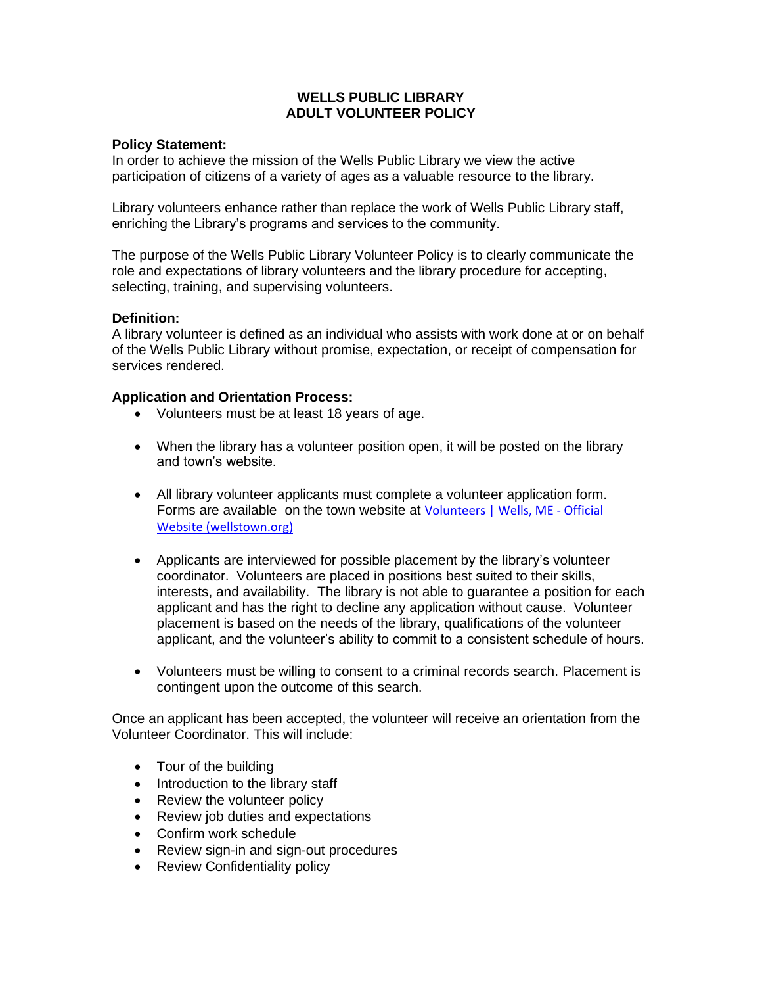# **WELLS PUBLIC LIBRARY ADULT VOLUNTEER POLICY**

## **Policy Statement:**

In order to achieve the mission of the Wells Public Library we view the active participation of citizens of a variety of ages as a valuable resource to the library.

Library volunteers enhance rather than replace the work of Wells Public Library staff, enriching the Library's programs and services to the community.

The purpose of the Wells Public Library Volunteer Policy is to clearly communicate the role and expectations of library volunteers and the library procedure for accepting, selecting, training, and supervising volunteers.

# **Definition:**

A library volunteer is defined as an individual who assists with work done at or on behalf of the Wells Public Library without promise, expectation, or receipt of compensation for services rendered.

# **Application and Orientation Process:**

- Volunteers must be at least 18 years of age.
- When the library has a volunteer position open, it will be posted on the library and town's website.
- All library volunteer applicants must complete a volunteer application form. Forms are available on the town website at [Volunteers | Wells, ME -](http://www.wellstown.org/797/Volunteers) Official Website [\(wellstown.org\)](http://www.wellstown.org/797/Volunteers)
- Applicants are interviewed for possible placement by the library's volunteer coordinator. Volunteers are placed in positions best suited to their skills, interests, and availability. The library is not able to guarantee a position for each applicant and has the right to decline any application without cause. Volunteer placement is based on the needs of the library, qualifications of the volunteer applicant, and the volunteer's ability to commit to a consistent schedule of hours.
- Volunteers must be willing to consent to a criminal records search. Placement is contingent upon the outcome of this search.

Once an applicant has been accepted, the volunteer will receive an orientation from the Volunteer Coordinator. This will include:

- Tour of the building
- Introduction to the library staff
- Review the volunteer policy
- Review job duties and expectations
- Confirm work schedule
- Review sign-in and sign-out procedures
- Review Confidentiality policy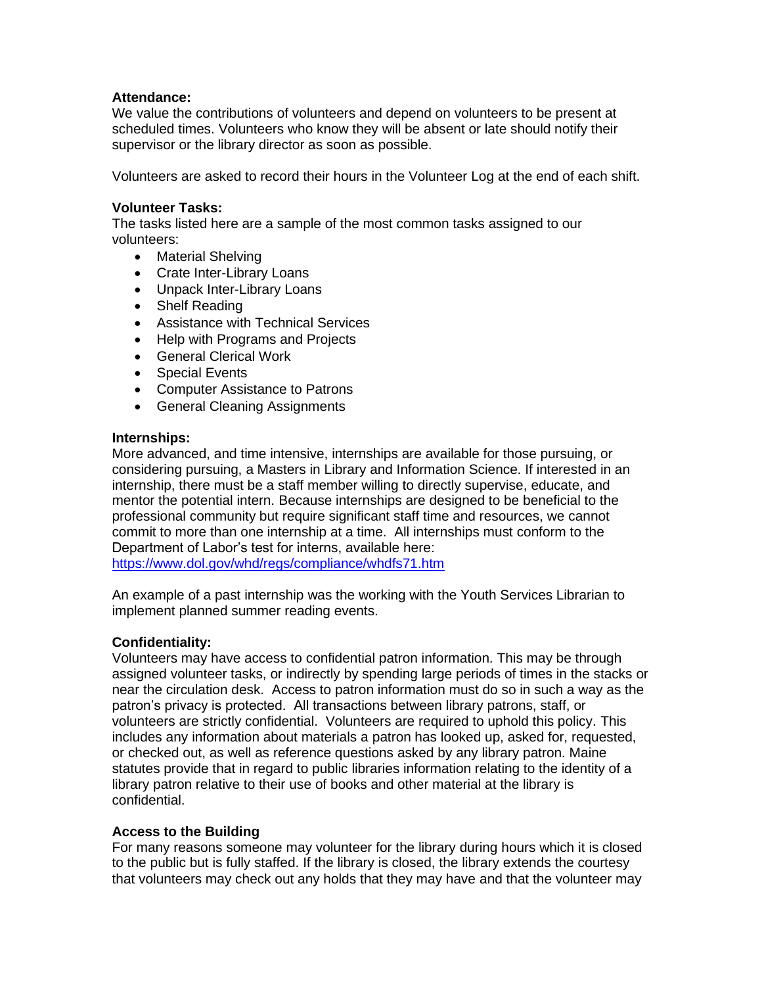## **Attendance:**

We value the contributions of volunteers and depend on volunteers to be present at scheduled times. Volunteers who know they will be absent or late should notify their supervisor or the library director as soon as possible.

Volunteers are asked to record their hours in the Volunteer Log at the end of each shift.

## **Volunteer Tasks:**

The tasks listed here are a sample of the most common tasks assigned to our volunteers:

- Material Shelving
- Crate Inter-Library Loans
- Unpack Inter-Library Loans
- Shelf Reading
- Assistance with Technical Services
- Help with Programs and Projects
- General Clerical Work
- Special Events
- Computer Assistance to Patrons
- General Cleaning Assignments

### **Internships:**

More advanced, and time intensive, internships are available for those pursuing, or considering pursuing, a Masters in Library and Information Science. If interested in an internship, there must be a staff member willing to directly supervise, educate, and mentor the potential intern. Because internships are designed to be beneficial to the professional community but require significant staff time and resources, we cannot commit to more than one internship at a time. All internships must conform to the Department of Labor's test for interns, available here:

<https://www.dol.gov/whd/regs/compliance/whdfs71.htm>

An example of a past internship was the working with the Youth Services Librarian to implement planned summer reading events.

### **Confidentiality:**

Volunteers may have access to confidential patron information. This may be through assigned volunteer tasks, or indirectly by spending large periods of times in the stacks or near the circulation desk. Access to patron information must do so in such a way as the patron's privacy is protected. All transactions between library patrons, staff, or volunteers are strictly confidential. Volunteers are required to uphold this policy. This includes any information about materials a patron has looked up, asked for, requested, or checked out, as well as reference questions asked by any library patron. Maine statutes provide that in regard to public libraries information relating to the identity of a library patron relative to their use of books and other material at the library is confidential.

### **Access to the Building**

For many reasons someone may volunteer for the library during hours which it is closed to the public but is fully staffed. If the library is closed, the library extends the courtesy that volunteers may check out any holds that they may have and that the volunteer may